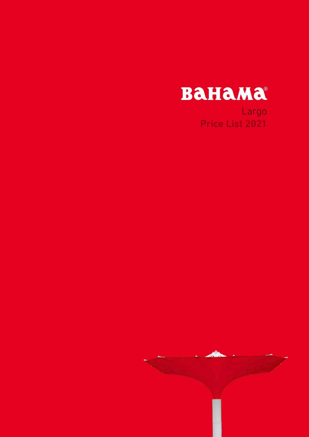

Largo Price List 2021

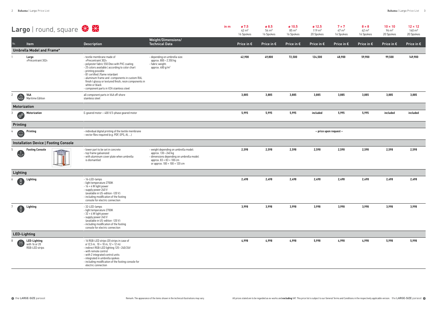|                                                          | Largo   round, square $\frac{1}{2}$                                                                                |                                                                                                                                                                                                                                                                                                                                                                                            |                                                                                                                                                                                                 | in m | ø 7.5<br>$42 \text{ m}^2$<br>16 Spokes | ø 8.5<br>$54 \text{ m}^2$<br>16 Spokes | ø 10.5<br>$85 \text{ m}^2$<br>16 Spokes | $\boldsymbol{\alpha}$ 12.5<br>$119 \text{ m}^2$<br>20 Spokes | $7 \times 7$<br>$47 \text{ m}^2$<br>16 Spokes | $8 \times 8$<br>$62 \text{ m}^2$<br>16 Spokes | $10 \times 10$<br>$96 \text{ m}^2$<br>20 Spokes | $12 \times 12$<br>$140 \text{ m}^2$<br>20 Spokes |
|----------------------------------------------------------|--------------------------------------------------------------------------------------------------------------------|--------------------------------------------------------------------------------------------------------------------------------------------------------------------------------------------------------------------------------------------------------------------------------------------------------------------------------------------------------------------------------------------|-------------------------------------------------------------------------------------------------------------------------------------------------------------------------------------------------|------|----------------------------------------|----------------------------------------|-----------------------------------------|--------------------------------------------------------------|-----------------------------------------------|-----------------------------------------------|-------------------------------------------------|--------------------------------------------------|
| No.                                                      | Item                                                                                                               | <b>Description</b>                                                                                                                                                                                                                                                                                                                                                                         | Weight/Dimensions/<br><b>Technical Data</b>                                                                                                                                                     |      | Price in $\epsilon$                    | Price in $\epsilon$                    | Price in $\epsilon$                     | Price in $\epsilon$                                          | Price in $\epsilon$                           | Price in $\epsilon$                           | Price in $\epsilon$                             | Price in $\epsilon$                              |
|                                                          | Umbrella Model and Frame*                                                                                          |                                                                                                                                                                                                                                                                                                                                                                                            |                                                                                                                                                                                                 |      |                                        |                                        |                                         |                                                              |                                               |                                               |                                                 |                                                  |
|                                                          | Largo<br>»Précontraint 302«                                                                                        | - textile membrane made of<br>»Precontraint 302«<br>- polyester fabric 550 Dtex with PVC coating<br>- 25 colors available   according to color chart<br>- printing possible<br>- B1 certified   flame retardant<br>- aluminum frame and -components in custom RAL<br>finish I glossy or textured finish, resin components in<br>white or black<br>- component parts in V2A stainless steel | - depending on umbrella size:<br>approx. 800 - 2.350 kg<br>- fabric weight:<br>approx. $480 g/m2$                                                                                               |      | 42,900                                 | 49,800                                 | 72,500                                  | 124,500                                                      | 48,900                                        | 59,900                                        | 99,500                                          | 149,900                                          |
| $\mathbf{2}$<br>$\bigoplus$                              | V4A<br>Maritime Edition                                                                                            | all component parts in V4A off-shore<br>stainless steel                                                                                                                                                                                                                                                                                                                                    |                                                                                                                                                                                                 |      | 3,885                                  | 3,885                                  | 3,885                                   | 3,885                                                        | 3,885                                         | 3,885                                         | 3,885                                           | 3,885                                            |
| Motorization                                             |                                                                                                                    |                                                                                                                                                                                                                                                                                                                                                                                            |                                                                                                                                                                                                 |      |                                        |                                        |                                         |                                                              |                                               |                                               |                                                 |                                                  |
| 3<br>ECTE                                                | Motorization                                                                                                       | E-geared motor - 400 V/3-phase geared motor                                                                                                                                                                                                                                                                                                                                                |                                                                                                                                                                                                 |      | 5,995                                  | 5,995                                  | 5,995                                   | included                                                     | 5,995                                         | 5,995                                         | included                                        | included                                         |
| Printing                                                 |                                                                                                                    |                                                                                                                                                                                                                                                                                                                                                                                            |                                                                                                                                                                                                 |      |                                        |                                        |                                         |                                                              |                                               |                                               |                                                 |                                                  |
| 0<br>4                                                   | - individual digital printing of the textile membrane<br>Printing<br>- vector files required (e.g. PDF, EPS, AI, ) |                                                                                                                                                                                                                                                                                                                                                                                            |                                                                                                                                                                                                 |      |                                        | – price upon request –                 |                                         |                                                              |                                               |                                               |                                                 |                                                  |
| <b>Installation Device   Footing Console</b>             |                                                                                                                    |                                                                                                                                                                                                                                                                                                                                                                                            |                                                                                                                                                                                                 |      |                                        |                                        |                                         |                                                              |                                               |                                               |                                                 |                                                  |
| 5<br>$\sqrt{\frac{2}{3}}$                                | <b>Footing Console</b>                                                                                             | - lower part to be set in concrete<br>- top frame galvanized<br>- with aluminum cover plate when umbrella<br>is dismantled                                                                                                                                                                                                                                                                 | - weight depending on umbrella model:<br>approx. 130 – 240 kg<br>- dimensions depending on umbrella model:<br>approx. $83 \times 83 \times 100$ cm<br>or approx. $100 \times 100 \times 120$ cm |      | 2,598                                  | 2,598                                  | 2,598                                   | 2,598                                                        | 2,598                                         | 2,598                                         | 2,598                                           | 2,598                                            |
| Lighting                                                 |                                                                                                                    |                                                                                                                                                                                                                                                                                                                                                                                            |                                                                                                                                                                                                 |      |                                        |                                        |                                         |                                                              |                                               |                                               |                                                 |                                                  |
| 6                                                        | Lighting                                                                                                           | - 16-LED-lamps<br>- light temperature 2700K<br>$-16 \times 4$ W light power<br>- supply power 240 V<br>(available in US-edition -120 V)<br>- including modification of the footing<br>console for electric connection                                                                                                                                                                      |                                                                                                                                                                                                 |      | 2,498                                  | 2,498                                  | 2,498                                   | 2,498                                                        | 2,498                                         | 2,498                                         | 2,498                                           | 2,498                                            |
| $\bigoplus$                                              | Lighting                                                                                                           | -32-LED-lamps<br>- light temperature 2700K<br>$-32 \times 4$ W light power<br>- supply power 240 V<br>(available in US-edition -120 V)<br>- including modification of the footing<br>console for electric connection                                                                                                                                                                       |                                                                                                                                                                                                 |      | 3,998                                  | 3,998                                  | 3,998                                   | 3,998                                                        | 3,998                                         | 3,998                                         | 3,998                                           | 3,998                                            |
| <b>LED-Lighting</b>                                      |                                                                                                                    |                                                                                                                                                                                                                                                                                                                                                                                            |                                                                                                                                                                                                 |      |                                        |                                        |                                         |                                                              |                                               |                                               |                                                 |                                                  |
| 8<br>$\begin{array}{c}\n\hline\n\text{RGB}\n\end{array}$ | <b>LED-Lighting</b><br>with 16 or 20<br>RGB-LED strips                                                             | - 16 RGB-LED strips (20 strips in case of<br>$\alpha$ 12,5 m, 10 $\times$ 10 m, 12 $\times$ 12 m)<br>- indirect RGB-LED lighting 120-240/24V<br>- with remote control<br>- with 2 integrated control units<br>- integrated in umbrella spokes<br>- including modification of the footing console for<br>electric connection                                                                |                                                                                                                                                                                                 |      | 4,998                                  | 4,998                                  | 4,998                                   | 5,998                                                        | 4,998                                         | 4,998                                         | 5,998                                           | 5,998                                            |